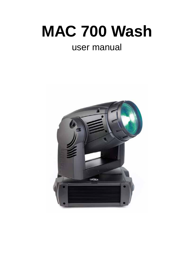# **MAC 700 Wash**

# user manual

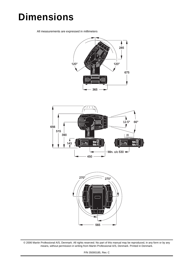# **Dimensions**

All measurements are expressed in millimeters







© 2006 Martin Professional A/S, Denmark. All rights reserved. No part of this manual may be reproduced, in any form or by any means, without permission in writing from Martin Professional A/S, Denmark. Printed in Denmark.

P/N 35000185, Rev. C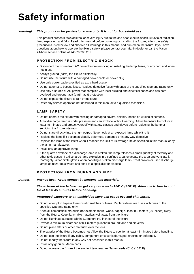# <span id="page-2-0"></span>**Safety information**

#### *Warning! This product is for professional use only. It is not for household use.*

This product presents risks of lethal or severe injury due to fire and heat, electric shock, ultraviolet radiation, lamp explosion, and falls. **Read this manual** before powering or installing the fixture, follow the safety precautions listed below and observe all warnings in this manual and printed on the fixture. If you have questions about how to operate the fixture safely, please contact your Martin dealer or call the Martin 24-hour service hotline at +45 70 200 201.

#### **PROTECTION FROM ELECTRIC SHOCK**

- Disconnect the fixture from AC power before removing or installing the lamp, fuses, or any part, and when not in use.
- Always ground (earth) the fixture electrically.
- Do not use the fixture with a damaged power cable or power plug.
- Use only power cable specified as extra hard usage
- Do not attempt to bypass fuses. Replace defective fuses with ones of the specified type and rating only.
- Use only a source of AC power that complies with local building and electrical codes and has both overload and ground-fault (earth-fault) protection.
- Do not expose the fixture to rain or moisture.
- Refer any service operation not described in this manual to a qualified technician.

#### **LAMP SAFETY**

- Do not operate the fixture with missing or damaged covers, shields, lenses or ultraviolet screens.
- A hot discharge lamp is under pressure and can explode without warning. Allow the fixture to cool for at least 45 minutes and protect yourself with safety glasses and gloves before replacing the lamp or servicing the fixture internals.
- Do not stare directly into the light output. Never look at an exposed lamp while it is lit.
- Replace the lamp if it becomes visually deformed, damaged or in any way defective
- Replace the lamp at the latest when it reaches the limit of its average life as specified in this manual or by the lamp manufacturer.
- Install only an approved lamp.
- If the quartz envelope of a discharge lamp is broken, the lamp releases a small quantity of mercury and other toxic gases. If a discharge lamp explodes in a confined area, evacuate the area and ventilate it thoroughly. Wear nitrite gloves when handling a broken discharge lamp. Treat broken or used discharge lamps as hazardous waste and send to a specialist for disposal.

#### **PROTECTION FROM BURNS AND FIRE**

#### *Danger! Intense heat. Avoid contact by persons and materials.*

*The exterior of the fixture can get very hot – up to 160° C (320° F). Allow the fixture to cool for at least 45 minutes before handling.* 

#### *Prolonged exposure to an unshielded lamp can cause eye and skin burns.*

- Do not attempt to bypass thermostatic switches or fuses. Replace defective fuses with ones of the specified type and rating only.
- Keep all combustible materials (for example fabric, wood, paper) at least 0.5 meters (20 inches) away from the fixture. Keep flammable materials well away from the fixture.
- Do not illuminate surfaces within 1.2 meters (42 inches) of the fixture.
- Provide a minimum clearance of 0.1 meters (4 inches) around fans and air vents.
- Do not place filters or other materials over the lens.
- The exterior of the fixture becomes hot. Allow the fixture to cool for at least 45 minutes before handling.
- Do not use the fixture if any cable, component or cover is damaged, cracked or deformed.
- Do not modify the fixture in any way not described in this manual.
- Install only genuine Martin parts.
- Do not operate the fixture if the ambient temperature (Ta) exceeds 40° C (104° F).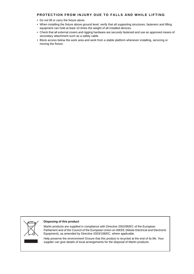#### **PROTECTION FROM INJURY DUE TO FALLS AND WHILE LIFTING**

- Do not lift or carry the fixture alone.
- When installing the fixture above ground level, verify that all supporting structures, fasteners and lifting equipment can hold at least 10 times the weight of all installed devices.
- Check that all external covers and rigging hardware are securely fastened and use an approved means of secondary attachment such as a safety cable.
- Block access below the work area and work from a stable platform whenever installing, servicing or moving the fixture.



#### **Disposing of this product**

Martin products are supplied in compliance with Directive 2002/96/EC of the European Parliament and of the Council of the European Union on WEEE (Waste Electrical and Electronic Equipment), as amended by Directive 2003/108/EC, where applicable.

Help preserve the environment! Ensure that this product is recycled at the end of its life. Your supplier can give details of local arrangements for the disposal of Martin products.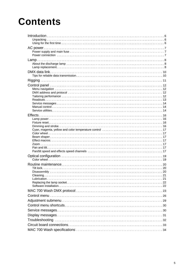# **Contents**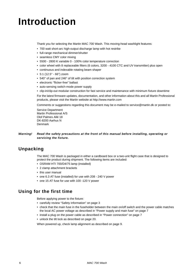# **Introduction**

Thank you for selecting the Martin MAC 700 Wash. This moving-head washlight features:

- 700 watt short-arc high-output discharge lamp with hot restrike
- full-range mechanical dimmer/shutter
- seamless CMY color mixing
- 5500 2800 K variable 0 100% color temperature correction
- color wheel with 8 replaceable filters (6 colors, 3200 4100 CTC and UV transmitter) plus open
- continuous and indexable rotating beam shaper
- 5:1 (12.5° 66°) zoom
- 540° of pan and 246° of tilt with position correction system
- electronic "flicker-free" ballast
- auto-sensing switch-mode power supply
- clip-in/clip-out modular construction for fast service and maintenance with minimum fixture downtime

For the latest firmware updates, documentation, and other information about this and all Martin Professional products, please visit the Martin website at http://www.martin.com

Comments or suggestions regarding this document may be e-mailed to service@martin.dk or posted to:

Service Department Martin Professional A/S Olof Palmes Allé 18 DK-8200 Aarhus N Denmark

#### *Warning! Read the safety precautions at the front of this manual before installing, operating or servicing the fixture.*

# **Unpacking**

The MAC 700 Wash is packaged in either a cardboard box or a two-unit flight case that is designed to protect the product during shipment. The following items are included:

- OSRAM HTI 700/D4/75 lamp (installed)
- 2 clamp attachment brackets
- this user manual
- one 6.3 AT fuse (installed) for use with 208 240 V power
- one 15 AT fuse for use with 100 -120 V power

# **Using for the first time**

Before applying power to the fixture:

- carefully review ["Safety information" on page 3](#page-2-0)
- check that the main fuse in the fuseholder between the main on/off switch and the power cable matches the local AC power voltage as described in ["Power supply and main fuse" on page 7](#page-6-1)
- install a plug on the power cable as described in ["Power connection" on page 7](#page-6-0)
- unlock the tilt lock as described on [page 20.](#page-19-0)

When powered up, check lamp alignment as described on [page 9](#page-8-0).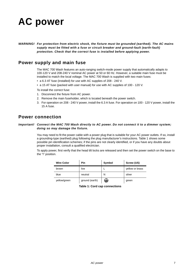# **AC power**

*WARNING! For protection from electric shock, the fixture must be grounded (earthed). The AC mains supply must be fitted with a fuse or circuit breaker and ground-fault (earth-fault) protection. Check that the correct fuse is installed before applying power.*

### <span id="page-6-1"></span>**Power supply and main fuse**

The MAC 700 Wash features an auto-ranging switch-mode power supply that automatically adapts to 100-120 V and 208-240 V nominal AC power at 50 or 60 Hz. However, a suitable main fuse must be installed to match the local voltage. The MAC 700 Wash is supplied with two main fuses:

- a 6.3 AT fuse (installed) for use with AC supplies of 208 240 V.
- a 15 AT fuse (packed with user manual) for use with AC supplies of 100 120 V.

To install the correct fuse:

- 1. Disconnect the fixture from AC power.
- 2. Remove the main fuseholder, which is located beneath the power switch.
- 3. For operation on 208 240 V power, install the 6.3 A fuse. For operation on 100 120 V power, install the 15 A fuse.

### <span id="page-6-0"></span>**Power connection**

#### *Important! Connect the MAC 700 Wash directly to AC power. Do not connect it to a dimmer system; doing so may damage the fixture.*

You may need to fit the power cable with a power plug that is suitable for your AC power outlets. If so, install a grounding-type (earthed) plug following the plug manufacturer's instructions. [Table 1](#page-6-2) shows some possible pin identification schemes; if the pins are not clearly identified, or if you have any doubts about proper installation, consult a qualified electrician.

To apply power, first verify that the head tilt locks are released and then set the power switch on the base to the "I" position.

<span id="page-6-2"></span>

| <b>Wire Color</b> | Pin            | Symbol | Screw (US)      |
|-------------------|----------------|--------|-----------------|
| brown             | live           |        | yellow or brass |
| blue              | neutral        | N      | silver          |
| yellow/green      | ground (earth) | ₩      | green           |

**Table 1: Cord cap connections**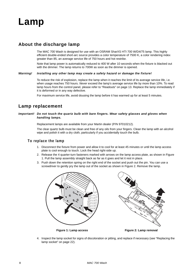

### **About the discharge lamp**

The MAC 700 Wash is designed for use with an OSRAM SharXS HTI 700 W/D4/75 lamp. This highly efficient double-ended short-arc source provides a color temperature of 7500 K, a color rendering index greater than 85, an average service life of 750 hours and hot restrike.

Note that lamp power is automatically reduced to 400 W after 10 seconds when the fixture is blacked out with the dimmer. The lamp returns to 700W as soon as the dimmer is opened.

#### *Warning! Installing any other lamp may create a safety hazard or damage the fixture!*

To reduce the risk of explosion, replace the lamp when it reaches the limit of its average service life, i.e. when usage reaches 750 hours. *Never* exceed the lamp's average service life by more than 10%. To read lamp hours from the control panel, please refer to ["Readouts" on page 13.](#page-12-0) Replace the lamp immediately if it is deformed or in any way defective.

For maximum service life, avoid dousing the lamp before it has warmed up for at least 5 minutes.

### **Lamp replacement**

#### *Important! Do not touch the quartz bulb with bare fingers. Wear safety glasses and gloves when handling lamps.*

Replacement lamps are available from your Martin dealer (P/N 97010212).

The clear quartz bulb must be clean and free of any oils from your fingers. Clean the lamp with an alcohol wipe and polish it with a dry cloth, particularly if you accidentally touch the bulb.

#### **To replace the lamp**

- 1. Disconnect the fixture from power and allow it to cool for at least 45 minutes or until the lamp access plate is cool enough to touch. Lock the head right-side up.
- 2. Release the 4 quarter-turn fasteners marked with arrows on the lamp access plate, as shown in [Figure](#page-7-0)  [1.](#page-7-0) Pull the lamp assembly straight back as far as it goes and let it rest in place.
- 3. Push down the retention spring on the right end of the socket and push out the pin. You can use a screwdriver to gently pry the lamp out of the socket as shown in [Figure 2.](#page-7-1) Remove the lamp.



<span id="page-7-0"></span>

<span id="page-7-1"></span>**Figure 1: Lamp access Figure 2: Lamp removal**

4. Inspect the lamp socket for signs of discoloration or pitting, and replace if necessary (see ["Replacing the](#page-21-0)  [lamp socket" on page 22\)](#page-21-0).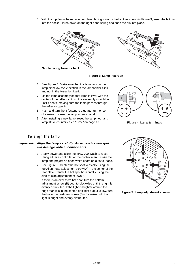5. With the nipple on the replacement lamp facing towards the back as shown in [Figure 3,](#page-8-1) insert the left pin into the socket. Push down on the right-hand spring and snap the pin into place.





**Nipple facing towards back**

#### <span id="page-8-1"></span>**Figure 3: Lamp insertion**

- 6. See [Figure 4.](#page-8-2) Make sure that the terminals on the lamp sit below the V-section in the lampholder clips and not in the V-section itself.
- 7. Lift the lamp assembly so that lamp is level with the center of the reflector. Push the assembly straight in until it seats, making sure the lamp passes through the reflector opening.
- 8. Push and turn the 4 fasteners a quarter turn or so clockwise to close the lamp access panel.
- 9. After installing a new lamp, reset the lamp hour and lamp strike counters. See ["Time" on page 13](#page-12-1).



<span id="page-8-2"></span>**Figure 4: Lamp terminals**

#### **To align the lamp**

#### <span id="page-8-0"></span>*Important! Align the lamp carefully. An excessive hot-spot will damage optical components.*

- 1. Apply power and allow the MAC 700 Wash to reset. Using either a controller or the control menu, strike the lamp and project an open white beam on a flat surface.
- 2. See [Figure 5.](#page-8-3) Center the hot spot vertically using the top Allen-head adjustment screw (A) in the center of the rear plate. Center the hot spot horizontally using the side-to-side adjustment screws (C).
- 3. If there is an excessive hot spot, turn the bottom adjustment screw (B) counterclockwise until the light is evenly distributed. If the light is brighter around the edge than it is in the center, or if light output is low, turn the bottom adjustment screw (B) clockwise until the light is bright and evenly distributed.



<span id="page-8-3"></span>**Figure 5: Lamp adjustment screws**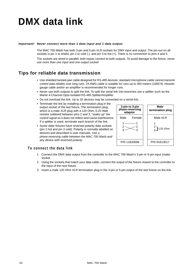# **DMX data link**

#### *Important! Never connect more than 1 data input and 1 data output.*

The MAC 700 Wash has both 3-pin and 5-pin XLR sockets for DMX input and output. The pin-out on all sockets is pin 1 to shield, pin 2 to cold (-), and pin 3 to hot (+). There is no connection to pins 4 and 5.

The sockets are wired in parallel: both inputs connect to both outputs. *To avoid damage to the fixture, never use more than one input and one output socket!* 

# **Tips for reliable data transmission**

- Use shielded twisted-pair cable designed for RS-485 devices: standard microphone cable cannot transmit control data reliably over long runs. 24 AWG cable is suitable for runs up to 300 meters (1000 ft). Heavier gauge cable and/or an amplifier is recommended for longer runs.
- Never use both outputs to split the link. To split the serial link into branches use a splitter such as the Martin 4-Channel Opto-Isolated RS-485 Splitter/Amplifier.
- Do not overload the link. Up to 32 devices may be connected on a serial link.
- Terminate the link by installing a termination plug in the output socket of the last fixture. The termination plug, which is a male XLR plug with a 120 Ohm, 0.25 Watt resistor soldered between pins 2 and 3, "soaks up" the control signal so it does not reflect and cause interference. If a splitter is used, terminate each branch of the link.
- Some older fixtures have reversed polarity data sockets (pin 2 hot and pin 3 cold). Polarity is normally labelled on devices and described in user manuals. *Use a phase-reversing cable between the MAC 700 Wash and any device with reversed polarity.*



#### **To connect the data link**

- 1. Connect the DMX data output from the controller to the MAC 700 Wash's 3-pin or 5-pin input (male) socket.
- 2. Using the sockets that match your data cable, connect the output of the fixture closest to the controller to the input of the next fixture.
- 3. Insert a male 120 Ohm XLR termination plug in the 3-pin or 5-pin output of the last fixture on the link.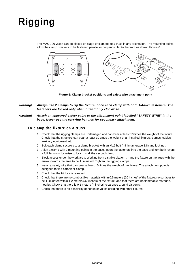# **Rigging**

The MAC 700 Wash can be placed on stage or clamped to a truss in any orientation. The mounting points allow the clamp brackets to be fastened parallel or perpendicular to the front as shown [Figure 6](#page-10-0).



<span id="page-10-0"></span>**Figure 6: Clamp bracket positions and safety wire attachment point**

- *Warning! Always use 2 clamps to rig the fixture. Lock each clamp with both 1/4-turn fasteners. The fasteners are locked only when turned fully clockwise.*
- *Warning! Attach an approved safety cable to the attachment point labelled "SAFETY WIRE" in the base. Never use the carrying handles for secondary attachment.*

#### **To clamp the fixture on a truss**

- 1. Check that the rigging clamps are undamaged and can bear at least 10 times the weight of the fixture. Check that the structure can bear at least 10 times the weight of all installed fixtures, clamps, cables, auxiliary equipment, etc.
- 2. Bolt each clamp securely to a clamp bracket with an M12 bolt (minimum grade 8.8) and lock nut.
- 3. Align a clamp with 2 mounting points in the base. Insert the fasteners into the base and turn both levers a full 1/4-turn clockwise to lock. Install the second clamp.
- 4. Block access under the work area. Working from a stable platform, hang the fixture on the truss with the arrow towards the area to be illuminated. Tighten the rigging clamps.
- 5. Install a safety wire that can bear at least 10 times the weight of the fixture. The attachment point is designed to fit a carabiner clamp.
- 6. Check that the tilt lock is released.
- 7. Check that there are no combustible materials within 0.5 meters (20 inches) of the fixture, no surfaces to be illuminated within 1.2 meters (42 inches) of the fixture, and that there are no flammable materials nearby. Check that there is 0.1 meters (4 inches) clearance around air vents.
- 8. Check that there is no possibility of heads or yokes colliding with other fixtures.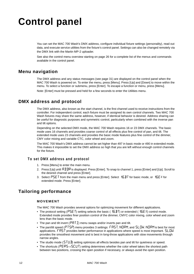# **Control panel**

You can set the MAC 700 Wash's DMX address, configure individual fixture settings (personality), read out data, and execute service utilities from the fixture's control panel. Settings can also be changed remotely via the DMX link with the Martin MP-2 uploader*.*

See also the control menu overview starting on [page](#page-25-0) 26 for a complete list of the menus and commands available in the control panel.

### **Menu navigation**

The DMX address and any status messages (see [page 31\)](#page-30-0) are displayed on the control panel when the MAC 700 Wash is powered on. To enter the menu, press [Menu]. Press [Up] and [Down] to move within the menu. To select a function or submenu, press [Enter]. To escape a function or menu, press [Menu].

Note: [Enter] must be pressed and held for a few seconds to enter the Utilities menu.

### **DMX address and protocol**

The DMX address, also known as the start channel, is the first channel used to receive instructions from the controller. For independent control, each fixture must be assigned its own control channels. Two MAC 700 Wash fixtures may share the same address, however, if identical behavior is desired. Address sharing can be useful for diagnostic purposes and symmetric control, particularly when combined with the inverse pan and tilt options.

Depending on the selected DMX mode, the MAC 700 Wash requires 16 or 23 DMX channels. The basic mode uses 16 channels and provides coarse control of all effects plus fine control of pan, and tilt. The extended mode uses 23 channels and provides the basic mode features plus fine control of the dimmer, CMY color mixing and variable CTC, color wheel and zoom.

The MAC 700 Wash's DMX address cannot be set higher than 497 in basic mode or 490 in extended mode. This makes it impossible to set the DMX address so high that you are left without enough control channels for the fixture.

#### **To set DMX address and protocol**

- 1. Press [Menu] to enter the main menu.
- 2. Press [Up] until  $HJIIR$  is displayed. Press [Enter]. To snap to channel 1, press [Enter] and [Up]. Scroll to the desired channel and press [Enter].
- 3. Select  $P$  5 E T from the main menu and press [Enter]. Select  $16B$  T for basic mode, or  $16E$  X for extended mode. Press [Enter].

# **Tailoring performance**

#### **MOVEMENT**

The MAC 700 Wash provides several options for optimizing movement for different applications.

- The protocol setting ( $P5E T$ ) setting selects the basic ( $16B T$ ) or extended ( $16E\%$ ) control mode. Extended mode provides finer position control of the dimmer, CMYC color mixing, color wheel and zoom lens than the basic mode.
- The pan and tilt invert ( $PHTI$ ) menu swaps and/or inverts pan and tilt.
- The pan/tilt speed ( $P$ TSP) menu provides 3 settings:  $F$ RST, NDRM, and SLDW. NDRM is best for most applications.  $F$ RST provides better performance in applications where speed is most important.  $SL$ DW provides the smoothest movement and is best in long-throw applications with slow movements through narrow angles.
- The studio mode ( $57UJ$ ) setting optimizes all effects besides pan and tilt for quietness or speed.
- The shortcuts ( $PERS \rightarrow SCHJ$ ) setting determines whether the color wheel takes the shortest path between two positions, crossing the open position if necessary, or always avoid the open position.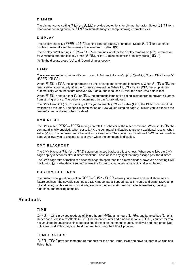#### **DIMMER**

The dimmer curve setting (PERS—) IICU) provides two options for dimmer behavior. Select IIM 1 for a near-linear dimming curve or  $JIMZ$  to simulate tungsten lamp dimming characteristics.

#### **DISPLAY**

The display intensity ( $PERS \rightarrow \Pi N T$ ) setting controls display brightness. Select  $HUTD$  for automatic display or manually set the intensity to a level from  $10$  to  $100$ .

The display on/off setting ( $PER5 \rightarrow JISP$ ) determines whether the display remains on ( $DN$ ), remains on for 2 minutes after the last key press ( $\overline{C}$  MN), or for 10 minutes after the last key press (10MN).

To flip the display, press [Up] and [Down] simultaneously.

#### **LAMP**

There are two settings that modify lamp control: Automatic Lamp On ( $PERS \rightarrow HLBN$ ) and DMX Lamp Off  $(PERS \rightarrow ILOF)$ .

When  $H L DN$  is  $DFF$ , the lamp remains off until a "lamp on" command is received. When  $H L DN$  is  $DN$ , the lamp strikes automatically after the fixture is powered on. When  $HLDN$  is set to  $JM$ %, the lamp strikes automatically when the fixture receives DMX data, and it douses 15 minutes after DMX data is lost.

When  $HLJN$  is set to either  $JN$  or  $JMX$ , the automatic lamp strike timing is staggered to prevent all lamps from striking at once. The delay is determined by the fixture address.

The DMX Lamp Off ( $JLP$ ) setting allows you to enable ( $DN$ ) or disable ( $DFF$ ) the DMX command that switches off the lamp. The special combination of DMX values listed on [page 23](#page-22-0) allows you to execute the lamp-off command even when disabled.

#### **DMX RESET**

The DMX reset ( $PER5 \rightarrow IIRE5$ ) setting controls the behavior of the reset command. When set to UN, the command is fully enabled. When set to  $\iota$  of F, the command is disabled to prevent accidental resets. When set to  $55\text{E}$ , the command must be sent for five seconds. The special combination of DMX values listed on [page 23](#page-22-0) allows you to execute a reset even when the command is disabled.

#### **CMY BLACKOUT**

The CMY blackout ( $PERS \rightarrow \Gamma MY$  B) setting enhances blackout effectiveness. When set to  $DN$ , the CMY flags deploy 3 seconds after dimmer blackout. These absorb any light that may escape past the dimmer.

The CMY flags take a fraction of a second longer to open than the dimmer blades, however, so setting CMY blackout to  $\mathsf{DFF}$  (the default setting) allows the fixture to snap open more rapidly after a blackout.

#### **CUSTOM SETTINGS**

The custom configuration function  $\text{IF}$   $\text{S}E \rightarrow$   $\text{E}$  US 1 -  $\text{E}$  US 3 allows you to save and recall three sets of fixture settings. The savable settings are DMX mode, pan/tilt speed, pan/tilt inverse and swap, DMX lamp off and reset, display settings, shortcuts, studio mode, automatic lamp on, effects feedback, tracking algorithm, and tracking samples.

### <span id="page-12-1"></span><span id="page-12-0"></span>**Readouts**

#### **TIME**

INF  $0\rightarrow$  TIME provides readouts of fixture hours (HRS), lamp hours (L HR), and lamp strikes (L 5T). Under each item is a resettable ( $F$ 5E T) increment counter and a non-resettable (TDTL) counter for total accumulated hours/strikes since fabrication. To reset an increment counter, display it and then press [Up] until it reads  $\mathcal{Q}$ . (This may also be done remotely using the MP-2 Uploader.)

#### **TEMPERATURE**

 $INF \mathbb{D} \rightarrow TEMP$  provides temperature readouts for the head, lamp, PCB and power supply in Celsius and Fahrenheit.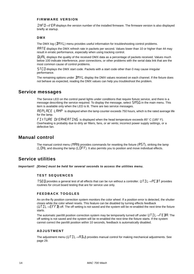#### **FIRMWARE VERSION**

INF  $\Box \rightarrow V$  ER displays the version number of the installed firmware. The firmware version is also displayed briefly at startup.

#### **DMX**

The DMX log ( $\mathbb{J}$ MXL) menu provides useful information for troubleshooting control problems.

RRTE displays the DMX refresh rate in packets per second. Values lower than 10 or higher than 44 may result in erratic performance, especially when using tracking control.

**GURL** displays the quality of the received DMX data as a percentage of packets received. Values much below 100 indicate interference, poor connections, or other problems with the serial data link that are the most common cause of control problems.

5TCD displays the DMX start code. Packets with a start code other than 0 may cause irregular performance.

The remaining options under  $\mathbb{J}M X$ . display the DMX values received on each channel. If the fixture does not behave as expected, reading the DMX values can help you troubleshoot the problem.

### **Service messages**

The Service LED on the control panel lights under conditions that require fixture service, and there is a message describing the service required. To display the message, select  $5M55$  in the main menu. This item is available only when the LED is lit. There are two service messages.

 $REPLRCE LRMP$  is displayed when the lamp counter exceeds 750 hours, which is the rated average life for the lamp.

 $\mathsf{FL}$   $\mathsf{X}$   $\mathsf{L}$   $\mathsf{H}$   $\mathsf{H}$   $\mathsf{H}$   $\mathsf{H}$   $\mathsf{H}$   $\mathsf{H}$  is displayed when the head temperature exceeds 85° C (185° F). Overheating is probably due to dirty air filters, fans, or air vents; incorrect power supply settings, or a defective fan.

### **Manual control**

The manual control menu (MRN) provides commands for resetting the fixture ( $\overline{R}$ 5T), striking the lamp (LDN), and dousing the lamp (LDFF). It also permits you to position and move individual effects.

### **Service utilities**

<span id="page-13-0"></span>*Important! [Enter] must be held for several seconds to access the utilities menu.* 

#### **TEST SEQUENCES**

TSED provides a general test of all effects that can be run without a controller. UTIL $\rightarrow$ PE BT provides routines for circuit board testing that are for service use only.

#### **FEEDBACK TOGGLES**

An on-the-fly position correction system monitors the color wheel. If a position error is detected, the shutter closes while the color wheel resets. This feature can be disabled by turning effects feedback ( $\bigcup TIL \rightarrow \bigcup F$  and  $TIL$ ) off. The off setting is not saved and the system will be re-enabled the next time the fixture starts.

The automatic pan/tilt position correction system may be temporarily turned off under  $UTL \rightarrow FE$  BR. The off setting is not saved and the system will be re-enabled the next time the fixture starts. If the system cannot correct the pan/tilt position within 10 seconds, feedback is automatically disabled.

#### **ADJUSTMENT**

The adjustment menu (UTIL $\rightarrow$ HII provides manual control for making mechanical adjustments. See [page 29.](#page-28-0)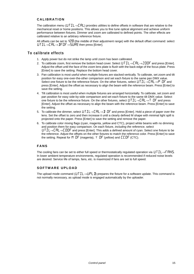#### **CALIBRATION**

The calibration menu ( $UTL \rightarrow ERL$ ) provides utilities to define offsets in software that are relative to the mechanical reset or home positions. This allows you to fine tune optical alignment and achieve uniform performance between fixtures. Dimmer and zoom are calibrated to defined points. The other effects are calibrated relative to an arbitrary reference fixture.

All offsets can be set to  $12B$  (the middle of their adjustment range) with the default offset command: select  $UTL \rightarrow CHL \rightarrow IFCIF \rightarrow SLIRE$  then press [Enter].

#### **To calibrate effects**

- 1. Apply power but do not strike the lamp until zoom has been calibrated.
- 2. To calibrate zoom, first remove the bottom head cover. Select  $UTL \rightarrow CHL \rightarrow ZDDF$  and press [Enter]. Adjust the offset until the face of the zoom lens plate is flush with the back edge of the focus plate. Press [Enter] to save the setting. Replace the bottom head cover.
- 3. Pan calibration is most useful when multiple fixtures are stacked vertically. To calibrate, set zoom and tilt position for easy one-over-the-other comparison and set each fixture to the same pan DMX value. Select one fixture to be the reference fixture. On the other fixtures, select  $UTL \rightarrow CHL \rightarrow P$  OF and press [Enter]. Adjust the offset as necessary to align the beam with the reference beam. Press [Enter] to save the setting.
- 4. Tilt calibration is most useful when multiple fixtures are arranged horizontally. To calibrate, set zoom and pan position for easy side-by-side comparison and set each fixture to the same tilt DMX value. Select one fixture to be the reference fixture. On the other fixtures, select  $UTL \rightarrow LH \rightarrow T$  OF and press [Enter]. Adjust the offset as necessary to align the beam with the reference beam. Press [Enter] to save the setting.
- 5. To calibrate the dimmer, select  $UTL \rightarrow LHL \rightarrow DDF$  and press [Enter]. Hold a piece of paper over the lens. Set the offset to zero and then increase it until a clearly defined M shape with minimal light spill is projected onto the paper. Press [Enter] to save the setting and remove the paper.
- 6. To calibrate color mixing flags (cyan, magenta, yellow and CTC), project white beams with no dimming and position them for easy comparison. On each fixture, *including the reference*, select  $U \cdot \overline{I} L \rightarrow \overline{L} B L \rightarrow \overline{L} B \overline{I} F$  and press [Enter]. This adds a defined amount of cvan. Select one fixture to be the reference. Adjust the offsets on the other fixtures to match the reference color. Press [Enter] to save the setting. Repeat for  $M$  DF (magenta),  $\gamma$  DF (yellow) and  $LEDF$  (CTC).

#### **FANS**

The cooling fans can be set to either full speed or thermostatically regulated operation via  $UTL \rightarrow FAN5$ . In lower ambient temperature environments, regulated operation is recommended if reduced noise levels are desired. Service life of lamps, fans, etc. is maximized if fans are set to full speed.

#### **SOFTWARE UPLOAD**

The upload mode command ( $UTL \rightarrow UPL$  I) prepares the fixture for a software update. This command is not normally necessary, as upload mode is engaged automatically by the uploader.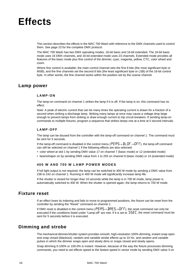# **Effects**

This section describes the effects in the MAC 700 Wash with reference to the DMX channels used to control them. See [page 23](#page-22-0) for the complete DMX protocol.

The MAC 700 Wash has two DMX operating modes, 16-bit basic and 16-bit extended. The 16-bit basic mode uses 16 DMX channels, and 16-bit extended mode uses 23 channels. Extended mode provides all features of the basic mode plus fine control of the dimmer, cyan, magenta, yellow, CTC, color wheel and zoom.

Where fine control is available, the main control channel sets the first 8 bits (the most significant byte or MSB), and the fine channels set the second 8 bits (the least significant byte or LSB) of the 16-bit control byte. In other words, the fine channel works within the position set by the coarse channel.

### **Lamp power**

#### **LAMP-ON**

The lamp-on command on channel 1 strikes the lamp if it is off. If the lamp is on, this command has no effect.

Note: A peak of electric current that can be many times the operating current is drawn for a fraction of a second when striking a discharge lamp. Striking many lamps at once may cause a voltage drop large enough to prevent lamps from striking or draw enough current to trip circuit breakers. If sending lamp-on commands to multiple fixtures, program a sequence that strikes lamps one at a time at 5 second intervals.

#### **LAMP-OFF**

The lamp can be doused from the controller with the lamp-off command on channel 1. The command must be sent for 5 seconds.

If the lamp-off command is disabled in the control menu ( $PER5 \rightarrow IL0F \rightarrow$  $0FF$ ), the lamp-off command can still be selected on channel 1 if the following effects are also selected:

- color wheel at slot 1 by sending DMX value 17 on channel 7 (basic mode) or 12 (extended mode)
- beamshaper on by sending DMX value from 1 to 255 on channel 8 (basic mode) or 14 (extended mode)

#### **400 W AND 700 W LAMP POWER MODES**

If full light output is not required, the lamp can be switched to 400 W mode by sending a DMX value from 238 to 242 on channel 1. Running in 400 W mode will significantly increase lamp life.

If the shutter is closed for longer than 10 seconds while the lamp is in 700 W mode, lamp power is automatically switched to 400 W. When the shutter is opened again, the lamp returns to 700 W mode.

### **Fixture reset**

If an effect loses its indexing and fails to move to programmed positions, the fixture can be reset from the controller by sending the "Reset" command on channel 1.

If DMX reset is disabled in the control menu ( $PEFS \rightarrow \text{IRES} \rightarrow \text{OFF}$ ), the reset command can only be executed if the conditions listed under "Lamp-off" are met. If it is set to  $55\text{E}$ , the reset command must be sent for 5 seconds before it is executed.

### **Dimming and strobe**

The mechanical dimmer/shutter system provides smooth, high-resolution 100% dimming, instant snap open and snap closed (blackout), random and variable strobe effects up to 10 Hz, and random and variable pulses in which the dimmer snaps open and slowly dims or snaps closed and slowly opens.

Snap dimming 0-100% or 100-0% is instant. However, because of the way the fixture processes dimming commands, you need to set effects speed to the fastest speed in vector mode by sending DMX value 3 on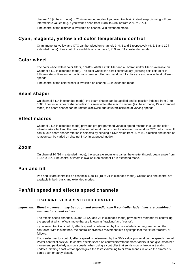channel 16 (in basic mode) or 23 (in extended mode) if you want to obtain instant snap dimming to/from intermediate values (e.g. if you want a snap from 100% to 50% or from 20% to 70%).

Fine control of the dimmer is available on channel 3 in extended mode.

### **Cyan, magenta, yellow and color temperature control**

Cyan, magenta, yellow and CTC can be added on channels 3, 4, 5 and 6 respectively (4, 6, 8 and 10 in extended mode). Fine control is available on channels 5, 7, 9 and 11 in extended mode.

### **Color wheel**

The color wheel with 6 color filters, a 3200 - 4100 K CTC filter and a UV transmitter filter is available on Channel 7 (12 in extended mode). The color wheel can scroll continuously (allowing split colors) or in full-color steps. Random or continuous color scrolling and random full colors are also available at different speeds.

Fine control of the color wheel is available on channel 13 in extended mode.

### **Beam shaper**

On channel 8 (14 in extended mode), the beam shaper can be applied and its position indexed from  $0^{\circ}$  to 360°. If continuous beam shaper rotation is selected on the macro channel (9 in basic mode, 15 in extended mode) the beam shaper can be rotated clockwise and counterclockwise at varying speeds.

### **Effect macros**

Channel 9 (15 in extended mode) provides pre-programmed variable-speed macros that use the color wheel shake effect and the beam shaper (either alone or in combination) or use random CMY color mixes. If continuous beam shaper rotation is selected by sending a DMX value from 56 to 95, direction and speed of rotation can be varied on channel 8 (14 in extended mode).

#### **Zoom**

On channel 10 (16 in extended mode), the separate zoom lens varies the one-tenth peak beam angle from 12.5° to 66°. Fine control of zoom is available on channel 17 in extended mode.

### **Pan and tilt**

Pan and tilt are controlled on channels 11 to 14 (18 to 21 in extended mode). Coarse and fine control are available in both basic and extended modes.

### **Pan/tilt speed and effects speed channels**

#### **TRACKING VERSUS VECTOR CONTROL**

#### *Important! Effect movement may be rough and unpredictable if controller fade times are combined with vector speed values.*

The effects speed channels 15 and 16 (22 and 23 in extended mode) provide two methods for controlling the speed at which effects move that are known as "tracking" and "vector".

if you select tracking control, effects speed is determined by the cross-fade time programmed on the controller. With this method, the controller divides a movement into tiny steps that the fixture "tracks", or follows.

If you select vector control, effects speed is determined by the DMX value you send on the speed channel. Vector control allows you to control effects speed on controllers without cross-faders. It can give smoother movement, particularly at slow speeds, when using a controller that sends slow or irregular tracking updates. Setting a fast vector speed gives the fastest dimming to or from scenes in which the dimmer is partly open or partly closed.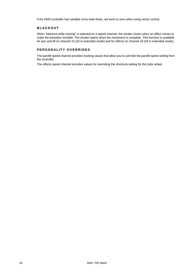If the DMX controller has variable cross-fade times, set them to zero when using vector control.

#### **BLACKOUT**

When "blackout while moving" is selected on a speed channel, the shutter closes when an effect moves to make the transition invisible. The shutter opens when the movement is complete. This function is available for pan and tilt on channel 15 (22 in extended mode) and for effects on channel 16 (23 in extended mode).

#### **PERSONALITY OVERRIDES**

The pan/tilt speed channel provides tracking values that allow you to override the pan/tilt speed setting from the controller.

The effects speed channel provides values for overriding the shortcuts setting for the color wheel.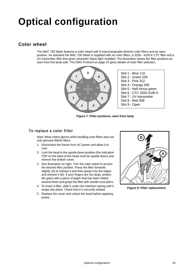# **Optical configuration**

# **Color wheel**

The MAC 700 Wash features a color wheel with 8 interchangeable dichroic color filters and an open position. As standard the MAC 700 Wash is supplied with six color filters, a 3200 - 4100 K CTC filter and a UV transmitter filter that gives ultraviolet 'black light' installed. The illustration shows the filter positions as seen from the lamp side. The DMX Protocol on [page 23](#page-22-0) gives details of color filter selection.



**Figure 7: Filter positions, seen from lamp**

#### **To replace a color filter**

Note: Wear cotton gloves while handling color filters and use only genuine Martin filters.

- 1. Disconnect the fixture from AC power and allow it to cool.
- 2. Lock the head in the upside-down position (the indication TOP on the back of the head must be upside down) and remove the bottom cover.
- 3. See illustration on right. Turn the color wheel to access the desired filter position. Press the filter forwards slightly (A) to release it and then grasp it by the edges and remove it (B). If your fingers are too large, protect the glass with a piece of paper that has been folded several times and grasp the filter with needle nose pliers.
- 4. To insert a filter, slide it under the retention spring until it snaps into place. Check that it is securely seated.
- 5. Replace the cover and unlock the head before applying power.



**Figure 8: Filter replacement**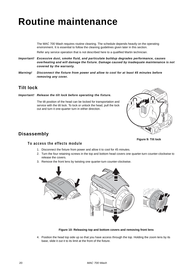# **Routine maintenance**

The MAC 700 Wash requires routine cleaning. The schedule depends heavily on the operating environment. It is essential to follow the cleaning guidelines given later in this section.

Refer any service operation that is not described here to a qualified Martin technician.

- *Important! Excessive dust, smoke fluid, and particulate buildup degrades performance, causes overheating and will damage the fixture. Damage caused by inadequate maintenance is not covered by the warranty.*
- *Warning! Disconnect the fixture from power and allow to cool for at least 45 minutes before removing any cover.*

### <span id="page-19-0"></span>**Tilt lock**

#### *Important! Release the tilt lock before operating the fixture.*

The tilt position of the head can be locked for transportation and service with the tilt lock. To lock or unlock the head, pull the lock out and turn it one-quarter turn in either direction.



# **Disassembly**

#### **To access the effects module**

- 1. Disconnect the fixture from power and allow it to cool for 45 minutes.
- 2. Turn the four retaining screws in the top and bottom head covers one quarter-turn counter-clockwise to release the covers.
- 3. Remove the front lens by twisting one quarter-turn counter-clockwise.



**Figure 10: Releasing top and bottom covers and removing front lens**

4. Position the head top side up so that you have access through the top. Holding the zoom lens by its base, slide it out it to its limit at the front of the fixture.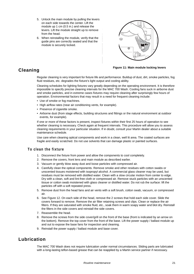- 5. Unlock the main module by pulling the levers on each side towards the center. Lift the module up 1 cm (0.5 in.) and release the levers. Lift the module straight up to remove from the head.
- 6. When reinstalling the module, verify that the guide pins are correctly seated and that the module is securely locked.



# **Cleaning**

#### **Figure 11: Main module locking levers**

Regular cleaning is very important for fixture life and performance. Buildup of dust, dirt, smoke particles, fog fluid residues, etc. degrades the fixture's light output and cooling ability.

Cleaning schedules for lighting fixtures vary greatly depending on the operating environment. It is therefore impossible to specify precise cleaning intervals for the MAC 700 Wash. Cooling fans suck in airborne dust and smoke particles, and in extreme cases fixtures may require cleaning after surprisingly few hours of operation. Environmental factors that may result in a need for frequent cleaning include:

- Use of smoke or fog machines.
- High airflow rates (near air conditioning vents, for example).
- Presence of cigarette smoke.
- Airborne dust (from stage effects, building structures and fittings or the natural environment at outdoor events, for example).

If one or more of these factors is present, inspect fixtures within their first 25 hours of operation to see whether cleaning is necessary. Check again at frequent intervals. This procedure will allow you to assess cleaning requirements in your particular situation. If in doubt, consult your Martin dealer about a suitable maintenance schedule.

Use care when cleaning optical components and work in a clean, well lit area. The coated surfaces are fragile and easily scratched. Do not use solvents that can damage plastic or painted surfaces.

#### **To clean the fixture**

- 1. Disconnect the fixture from power and allow the components to cool completely.
- 2. Remove the covers, front lens and main module as described earlier.
- 3. Vacuum or gently blow away dust and loose particles with compressed air.
- 4. Carefully clean the optical components. Remove smoke and other residues with cotton swabs or unscented tissues moistened with isopropyl alcohol. A commercial glass cleaner may be used, but residues must be removed with distilled water. Clean with a slow circular motion from center to edge. Dry with a clean, soft and lint-free cloth or compressed air. Remove stuck particles with an unscented tissue or cotton swab moistened with glass cleaner or distilled water. Do not rub the surface: lift the particles off with a soft repeated press.
- 5. Remove dust from the head fans and air vents with a soft brush, cotton swab, vacuum, or compressed air.
- 6. See [Figure 12.](#page-21-1) On each side of the head, remove the 2 screws that hold each side cover. Slide the covers forward to remove. Remove the air filter retaining screws and clips. Clean or replace the air filters. If they are saturated with smoke fluid, etc., soak them in warm soapy water and blot dry. Reinstall the filters in the side covers and reinstall the side covers.
- 7. Reassemble the head.
- 8. Remove the screws from the side cover/grill on the front of the base (front is indicated by an arrow on the bottom). Remove the top cover from the front of the base. Lift the power supply / ballast module up and out to expose the base fans for inspection and cleaning.
- 9. Reinstall the power supply / ballast module and base cover.

### **Lubrication**

The MAC 700 Wash does not require lubrication under normal circumstances. Sliding parts are lubricated with a long-lasting teflon-based grease that can be reapplied by a Martin service partner if necessary.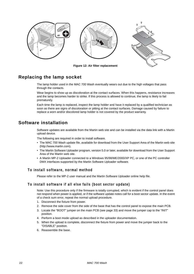

**Figure 12: Air filter replacement** 

# <span id="page-21-0"></span>**Replacing the lamp socket**

<span id="page-21-1"></span>The lamp holder used in the MAC 700 Wash eventually wears out due to the high voltages that pass through the contacts.

Wear begins to show up as discoloration at the contact surfaces. When this happens, resistance increases and the lamp becomes harder to strike. If this process is allowed to continue, the lamp is likely to fail prematurely.

Each time the lamp is replaced, inspect the lamp holder and have it replaced by a qualified technician as soon as there are signs of discoloration or pitting at the contact surfaces. Damage caused by failure to replace a worn and/or discolored lamp holder is not covered by the product warranty.

# **Software installation**

Software updates are available from the Martin web site and can be installed via the data link with a Martin upload device.

The following are required in order to install software.

- The MAC 700 Wash update file, available for download from the User Support Area of the Martin web site (http://www.martin.com).
- The Martin Software Uploader program, version 5.0 or later, available for download from the User Support Area of the Martin web site.
- A Martin MP-2 Uploader connected to a Windows 95/98/ME/2000/XP PC, or one of the PC controller DMX interfaces supported by the Martin Software Uploader software.

#### **To install software, normal method**

Please refer to the MP-2 user manual and the Martin Software Uploader online help file.

#### **To install software if all else fails (boot sector update)**

Note: Use this procedure only if the firmware is totally corrupted, which is evident if the control panel does not respond when power is applied, or if the software update notes call for a boot sector update. In the event of a check sum error, repeat the normal upload procedure.

- 1. Disconnect the fixture from power.
- 2. Remove the side cover from the side of the base that has the control panel to expose the main PCB.
- 3. Locate the "BOOT" jumper on the main PCB (see [page 33\)](#page-32-0) and move the jumper cap to the "INIT" position.
- 4. Perform a boot mode upload as described in the uploader documentation.
- 5. When the upload is complete, disconnect the fixture from power and move the jumper back to the "DISABLE" position.
- 6. Reassemble the base.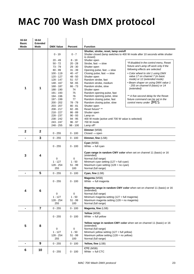# <span id="page-22-0"></span>**MAC 700 Wash DMX protocol**

| 16-bit<br><b>Basic</b> | 16-bit<br><b>Extended</b> |                        |                         |                                                                                                          |                                                                            |
|------------------------|---------------------------|------------------------|-------------------------|----------------------------------------------------------------------------------------------------------|----------------------------------------------------------------------------|
| Mode                   | Mode                      | <b>DMX Value</b>       | <b>Percent</b>          | <b>Function</b>                                                                                          |                                                                            |
|                        |                           | $0 - 19$               | $0 - 7$                 | Shutter, strobe, reset, lamp on/off<br>is closed)                                                        | Shutter closed (lamp switches to 400 W mode after 10 seconds while shutter |
|                        |                           | $20 - 49$              | $8 - 19$                | Shutter open                                                                                             |                                                                            |
|                        |                           | $50 - 72$              | $20 - 28$               | Strobe, fast $\rightarrow$ slow                                                                          | *If disabled in the control menu, Reset                                    |
|                        |                           | $73 - 79$              | $29 - 30$               | Shutter open                                                                                             | fixture and Lamp off work only if the                                      |
|                        |                           | $80 - 99$              | $31 - 39$               | Opening pulse, fast $\rightarrow$ slow                                                                   | following effects are selected:                                            |
|                        |                           | $100 - 119$            | $40 - 47$               | Closing pulse, fast $\rightarrow$ slow                                                                   | • Color wheel to slot 1 using DMX                                          |
|                        |                           | 120 - 127              | $48 - 50$               | Shutter open                                                                                             | value 17 on channel 7 (in basic<br>mode) or 12 (extended mode)             |
|                        |                           | 128 - 147<br>148 - 167 | $51 - 57$<br>$58 - 65$  | Random strobe, fast<br>Random strobe, medium                                                             | • Beam shaper on using DMX value 1                                         |
|                        |                           | $168 - 187$            | $66 - 73$               | Random strobe, slow                                                                                      | - 255 on channel 8 (basic) or 14                                           |
| 1                      | 1                         | 188 - 190              | 74                      | Shutter open                                                                                             | (extended)                                                                 |
|                        |                           | 191 - 193              | 75                      | Random opening pulse, fast                                                                               |                                                                            |
|                        |                           | 194 - 196              | 76                      | Random opening pulse, slow                                                                               | ** A five-second delay for the Reset                                       |
|                        |                           | 197 - 199              | 77                      | Random closing pulse, fast                                                                               | fixture command can be set in the                                          |
|                        |                           | 200 - 202              | 78 - 79                 | Random closing pulse, slow                                                                               | control menu under <b>JRE 5</b> .                                          |
|                        |                           | $203 - 207$            | $80 - 81$               | Shutter open                                                                                             |                                                                            |
|                        |                           | $208 - 217$            | $82 - 85$               | Reset fixture* **                                                                                        |                                                                            |
|                        |                           | $218 - 227$            | $86 - 89$               | Shutter open                                                                                             |                                                                            |
|                        |                           | 228 - 237              | $90 - 93$               | Lamp on                                                                                                  |                                                                            |
|                        |                           | $238 - 242$            | $94 - 95$               | 400 W mode (active until 700 W value is selected)<br>700 W mode                                          |                                                                            |
|                        |                           | 243 - 247<br>248 - 255 | $96 - 97$<br>$98 - 100$ | Lamp off*                                                                                                |                                                                            |
|                        |                           |                        |                         |                                                                                                          |                                                                            |
| $\mathbf{2}$           | $\mathbf{2}$              |                        |                         | Dimmer (MSB)                                                                                             |                                                                            |
|                        |                           | $0 - 255$              | $0 - 100$               | $Closed \rightarrow open$                                                                                |                                                                            |
| -                      | 3                         | $0 - 255$              | $0 - 100$               | Dimmer, fine (LSB)                                                                                       |                                                                            |
|                        |                           | $0 - 255$              | $0 - 100$               | Cyan (MSB)<br>White $\rightarrow$ full cyan                                                              |                                                                            |
| 3                      | 4                         | 0                      | 0                       | Cyan range in random CMY color when set on channel 11 (basic) or 16<br>(extended)<br>Normal (full range) |                                                                            |
|                        |                           | $1 - 127$              | $1 - 50$                | Minimum cyan setting $(127 = full cyan)$                                                                 |                                                                            |
|                        |                           | 128 - 254              | $51 - 99$               | Maximum cyan setting $(128 = no \text{ cyan})$                                                           |                                                                            |
|                        |                           | 255                    | 100                     | Normal (full range)                                                                                      |                                                                            |
| -                      | 5                         | $0 - 255$              | $0 - 100$               | Cyan, fine (LSB)                                                                                         |                                                                            |
|                        |                           | $0 - 255$              | $0 - 100$               | Magenta (MSB)<br>White $\rightarrow$ full magenta                                                        |                                                                            |
| 4                      | 6                         |                        |                         | Magenta range in random CMY color when set on channel 11 (basic) or 16<br>(extended)                     |                                                                            |
|                        |                           | 0<br>$1 - 127$         | 0<br>$1 - 50$           | Normal (full range)<br>Minimum magenta setting (127 = full magenta)                                      |                                                                            |
|                        |                           | 128 - 254              | $51 - 99$               | Maximum magenta setting (128 = no magenta)                                                               |                                                                            |
|                        |                           | 255                    | 100                     | Normal (full range)                                                                                      |                                                                            |
| -                      | $\overline{7}$            | $0 - 255$              | $0 - 100$               | Magenta, fine (LSB)                                                                                      |                                                                            |
|                        |                           |                        |                         | Yellow (MSB)                                                                                             |                                                                            |
|                        |                           | $0 - 255$              | $0 - 100$               | White $\rightarrow$ full yellow                                                                          |                                                                            |
|                        |                           |                        |                         |                                                                                                          | Yellow range in random CMY color when set on channel 11 (basic) or 16      |
| 5                      | 8                         | 0                      | 0                       | (extended)<br>Normal (full range)                                                                        |                                                                            |
|                        |                           | $1 - 127$              | $1 - 50$                | Minimum yellow setting $(127 = full$ yellow)                                                             |                                                                            |
|                        |                           | 128 - 254              | $51 - 99$               | Maximum yellow setting (128 = no yellow)                                                                 |                                                                            |
|                        |                           | 255                    | 100                     | Normal (full range)                                                                                      |                                                                            |
|                        | 9                         | $0 - 255$              | $0 - 100$               | Yellow, fine (LSB)                                                                                       |                                                                            |
|                        |                           |                        |                         | CTC (MSB)                                                                                                |                                                                            |
| 6                      | 10                        | $0 - 255$              | $0 - 100$               | White $\rightarrow$ full CTC                                                                             |                                                                            |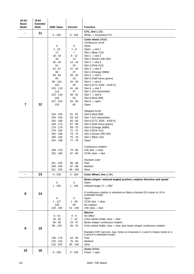| 16-bit<br><b>Basic</b> | 16-bit<br><b>Extended</b> |                        |                        |                                                                                  |  |
|------------------------|---------------------------|------------------------|------------------------|----------------------------------------------------------------------------------|--|
| <b>Mode</b>            | Mode                      | <b>DMX Value</b>       | Percent                | <b>Function</b>                                                                  |  |
| $\blacksquare$         | 11                        | $0 - 255$              | $0 - 100$              | CTC, fine (LSB)<br>White $\rightarrow$ increased CTC                             |  |
|                        |                           |                        |                        | Color wheel (MSB)                                                                |  |
|                        |                           | $\mathbf 0$            | 0                      | Continuous scroll<br>Open                                                        |  |
|                        |                           | $1 - 16$               | $1 - 6$                | Open $\rightarrow$ slot 1                                                        |  |
|                        |                           | 17                     | $\overline{7}$         | Slot 1 (Blue 110)                                                                |  |
|                        |                           | $18 - 33$              | $8 - 12$               | Slot 1 $\rightarrow$ slot 2                                                      |  |
|                        |                           | 34                     | 13<br>$14 - 19$        | Slot 2 (Green 206 IAD)                                                           |  |
|                        |                           | $35 - 50$<br>51        | 20                     | Slot 2 $\rightarrow$ slot 3<br>Slot 3 (Pink 312)                                 |  |
|                        |                           | $52 - 67$              | 21 - 26                | Slot $3 \rightarrow$ slot 4                                                      |  |
|                        |                           | 68                     | 27                     | Slot 4 (Orange 306M)                                                             |  |
|                        |                           | 69 - 84<br>85          | 28 - 32<br>33          | Slot 4 $\rightarrow$ slot 5<br>Slot 5 (Half minus green)                         |  |
|                        |                           | 86 - 101               | $34 - 39$              | Slot $5 \rightarrow$ slot 6                                                      |  |
|                        |                           | 102                    | 40                     | Slot 6 (CTC 3200 - 4100 K)                                                       |  |
|                        |                           | $103 - 118$<br>119     | 41 - 46<br>47          | Slot 6 $\rightarrow$ slot 7<br>Slot 7 (UV transmitter)                           |  |
|                        |                           | $120 - 135$            | 48 - 52                | Slot $7 \rightarrow$ slot 8                                                      |  |
|                        |                           | 136                    | 53                     | Slot 8 (Red 308)                                                                 |  |
| $\overline{7}$         | 12                        | 137 - 152              | 54 - 59                | Slot 8 $\rightarrow$ open                                                        |  |
|                        |                           | 153                    | 60                     | Open                                                                             |  |
|                        |                           |                        |                        | Stepped scroll                                                                   |  |
|                        |                           | 154 - 158              | $61 - 62$              | Slot 8 (Red 308)                                                                 |  |
|                        |                           | 159 - 163<br>164 - 168 | $63 - 64$<br>65 - 66   | Slot 7 (UV transmitter)<br>Slot 6 (CTC 3200 - 4100 K)                            |  |
|                        |                           | 169 - 173              | $67 - 68$              | Slot 5 (Half minus green)                                                        |  |
|                        |                           | 174 - 178              | $69 - 70$              | Slot 4 (Orange 306M)                                                             |  |
|                        |                           | 179 - 183<br>184 - 188 | $71 - 72$<br>$73 - 74$ | Slot 3 (Pink 312)<br>Slot 2 (Green 206 IAD)                                      |  |
|                        |                           | 189 - 193              | $75 - 76$              | Slot 1 (Blue 110)                                                                |  |
|                        |                           | 194 - 198              | $77 - 78$              | Open                                                                             |  |
|                        |                           |                        |                        | Continuous rotation                                                              |  |
|                        |                           | 199 - 219              | 79 - 86                | CW, fast $\rightarrow$ slow                                                      |  |
|                        |                           | 220 - 240              | 87 - 94                | CCW, slow $\rightarrow$ fast                                                     |  |
|                        |                           |                        |                        | Random color                                                                     |  |
|                        |                           | 241 - 245<br>246 - 250 | $95 - 96$<br>$97 - 98$ | Fast<br>Medium                                                                   |  |
|                        |                           | 251 - 255              | $99 - 100$             | Slow                                                                             |  |
| -                      | 13                        | $0 - 255$              | $0 - 100$              | Color Wheel, fine (LSB)                                                          |  |
|                        |                           | 0                      | 0                      | Beam shaper: indexed angled position, rotation direction and speed<br>Open       |  |
|                        |                           | $1 - 255$              | $1 - 100$              | Indexed angle, $0^\circ \rightarrow 360^\circ$                                   |  |
|                        | 14                        |                        |                        | If continuous rotation is selected on Macro channel (9 in basic or 15 in         |  |
| 8                      |                           |                        |                        | extended mode)                                                                   |  |
|                        |                           | 0<br>$1 - 127$         | 0<br>$1 - 49$          | Open<br>CCW, fast $\rightarrow$ slow                                             |  |
|                        |                           | 128                    | 50                     | No rotation                                                                      |  |
|                        |                           | 129 - 255              | $51 - 100$             | CW, slow $\rightarrow$ fast                                                      |  |
|                        |                           | $0 - 15$               | $0 - 6$                | <b>Macros</b><br>No effect                                                       |  |
|                        |                           | $16 - 55$              | $7 - 22$               | Color wheel shake, slow $\rightarrow$ fast                                       |  |
|                        |                           | $56 - 95$              | $23 - 37$              | Beam shaper continuous rotation                                                  |  |
| $\boldsymbol{9}$       | 15                        | 96 - 135               | $38 - 53$              | Color wheel shake, slow $\rightarrow$ fast, plus beam shaper continuous rotation |  |
|                        |                           |                        |                        | Random CMY (set min. max. limits on channels 3, 4 and 5 in basic mode or 4,      |  |
|                        |                           | 136 - 175              | 54 - 69                | 6 and 8 in extended mode)<br>Fast                                                |  |
|                        |                           | 176 - 215              | 70 - 84                | Medium                                                                           |  |
|                        |                           | $216 - 255$            | 85 - 100               | Slow                                                                             |  |
| 10                     | 16                        |                        |                        | Zoom (MSB)                                                                       |  |
|                        |                           | $0 - 255$              | $0 - 100$              | $Flood \rightarrow spot$                                                         |  |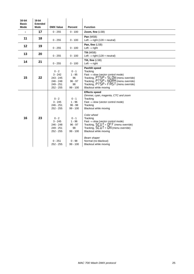| 16-bit<br><b>Basic</b><br><b>Mode</b> | 16-bit<br><b>Extended</b><br>Mode | <b>DMX Value</b>                                                                                                                                | Percent                                                                                                                          | <b>Function</b>                                                                                                                                                                                                                                                                                                                                                                                                       |
|---------------------------------------|-----------------------------------|-------------------------------------------------------------------------------------------------------------------------------------------------|----------------------------------------------------------------------------------------------------------------------------------|-----------------------------------------------------------------------------------------------------------------------------------------------------------------------------------------------------------------------------------------------------------------------------------------------------------------------------------------------------------------------------------------------------------------------|
|                                       | 17                                | $0 - 255$                                                                                                                                       | $0 - 100$                                                                                                                        | Zoom, fine (LSB)                                                                                                                                                                                                                                                                                                                                                                                                      |
| 11                                    | 18                                | $0 - 255$                                                                                                                                       | $0 - 100$                                                                                                                        | Pan (MSB)<br>Left $\rightarrow$ right (128 = neutral)                                                                                                                                                                                                                                                                                                                                                                 |
| 12                                    | 19                                | $0 - 255$                                                                                                                                       | $0 - 100$                                                                                                                        | Pan, fine (LSB)<br>Left $\rightarrow$ right                                                                                                                                                                                                                                                                                                                                                                           |
| 13                                    | 20                                | $0 - 255$                                                                                                                                       | $0 - 100$                                                                                                                        | Tilt (MSB)<br>Left $\rightarrow$ right (128 = neutral)                                                                                                                                                                                                                                                                                                                                                                |
| 14                                    | 21                                | $0 - 255$                                                                                                                                       | $0 - 100$                                                                                                                        | Tilt, fine (LSB)<br>Left $\rightarrow$ right                                                                                                                                                                                                                                                                                                                                                                          |
| 15                                    | 22                                | $0 - 2$<br>$3 - 242$<br>$243 - 245$<br>246 - 248<br>249 - 251<br>$252 - 255$                                                                    | $0 - 1$<br>$1 - 95$<br>96<br>$96 - 97$<br>98<br>$99 - 100$                                                                       | Pan/tilt speed<br>Tracking<br>$Fast \rightarrow slow$ (vector control mode)<br>Tracking, $P \overline{T} 5P = 5L \overline{D}W$ (menu override)<br>Tracking, $PT5P = NORM$ (menu override)<br>Tracking, $PTSP = FRST$ (menu override)<br>Blackout while moving                                                                                                                                                        |
| 16                                    | 23                                | $0 - 2$<br>$3 - 245$<br>$246 - 251$<br>$252 - 255$<br>$0 - 2$<br>$3 - 245$<br>246 - 248<br>$249 - 251$<br>252 - 255<br>$0 - 251$<br>$252 - 255$ | $0 - 1$<br>$1 - 96$<br>$96 - 98$<br>$99 - 100$<br>$0 - 1$<br>$1 - 96$<br>$96 - 97$<br>98<br>$99 - 100$<br>$0 - 98$<br>$99 - 100$ | <b>Effects speed</b><br>Dimmer, cyan, magenta, CTC and zoom<br>Tracking<br>$Fast \rightarrow slow$ (vector control mode)<br>Tracking<br>Blackout while moving<br>Color wheel<br>Tracking<br>$Fast \rightarrow slow$ (vector control mode)<br>Tracking, $5CUT = DFF$ (menu override)<br>Tracking, $5LUT = ON$ (menu override)<br>Blackout while moving<br>Beam shaper<br>Normal (no blackout)<br>Blackout while moving |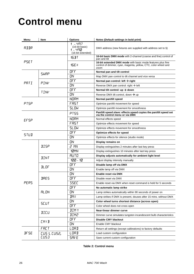# <span id="page-25-0"></span>**Control menu**

| Menu              | Item         | <b>Options</b>                                            | Notes (Default settings in bold print)                                                                                                |  |
|-------------------|--------------|-----------------------------------------------------------|---------------------------------------------------------------------------------------------------------------------------------------|--|
| ADJR              |              | 1 - 497<br>(16-bit basic)<br>1 – 490<br>(16-bit extended) | DMX address (new fixtures are supplied with address set to 1)                                                                         |  |
| <b>PSET</b>       |              | $16B$ T                                                   | 16-bit basic DMX mode with 2-channel (coarse and fine) control of<br>pan and tilt                                                     |  |
|                   |              | 16EX                                                      | 16-bit extended DMX mode with basic mode features plus fine<br>control of dimmer, cyan, magenta, yellow, CTC, color wheel and<br>zoom |  |
|                   | <b>SWRP</b>  | OFF                                                       | Normal pan and tilt control                                                                                                           |  |
|                   |              | <b>DN</b>                                                 | Map DMX pan control to tilt channel and vice versa                                                                                    |  |
| PRTT              | PINV         | DFF                                                       | Normal pan control: left $\rightarrow$ right                                                                                          |  |
|                   |              | <b>DN</b>                                                 | Reverse DMX pan control: right $\rightarrow$ left                                                                                     |  |
|                   | TINK         | DFF                                                       | Normal tilt control: up $\rightarrow$ down                                                                                            |  |
|                   |              | <b>DN</b>                                                 | Reverse DMX tilt control, down $\rightarrow$ up                                                                                       |  |
|                   |              | <b>NORM</b>                                               | Normal pan/tilt speed                                                                                                                 |  |
| PT <sub>SP</sub>  |              | FRST                                                      | Optimize pan/tilt movement for speed                                                                                                  |  |
|                   |              | <b>SLOW</b>                                               | Optimize pan/tilt movement for smoothness                                                                                             |  |
|                   |              | <b>PT55</b>                                               | Pan/tilt speed slave: effects speed copies the pan/tilt speed set<br>via the control menu or via DMX                                  |  |
| EF <sub>5</sub> P |              | <b>NORM</b>                                               | Normal effects speed                                                                                                                  |  |
|                   |              | FRST                                                      | Optimize effects movement for speed                                                                                                   |  |
|                   |              | <b>SLOW</b>                                               | Optimize effects movement for smoothness                                                                                              |  |
| <b>STUD</b>       |              | OFF                                                       | Optimize effects for speed                                                                                                            |  |
|                   |              | <b>DN</b>                                                 | Optimize effects for silence (studio mode)                                                                                            |  |
|                   | <b>JISP</b>  | 0N.                                                       | Display remains on                                                                                                                    |  |
|                   |              | MN 5                                                      | Display extinguishes 2 minutes after last key press                                                                                   |  |
|                   |              | 10MN                                                      | Display extinguishes 10 minutes after last key press                                                                                  |  |
|                   | <b>JINT</b>  | <b>RUTO</b>                                               | Display adjusts automatically for ambient light level                                                                                 |  |
|                   |              | 100 - 10                                                  | Adjust display intensity manually                                                                                                     |  |
|                   | <b>JLOF</b>  | OFF                                                       | Disable lamp off via DMX                                                                                                              |  |
|                   |              | <b>UN</b>                                                 | Enable lamp off via DMX                                                                                                               |  |
|                   |              | n D                                                       | Enable reset via DMX                                                                                                                  |  |
|                   | <b>JRES</b>  | OFF                                                       | Disable reset via DMX                                                                                                                 |  |
| <b>PERS</b>       |              | 55EC                                                      | Enable reset via DMX when reset command is held for 5 seconds                                                                         |  |
|                   |              | OFF                                                       | No automatic lamp strike                                                                                                              |  |
|                   | <b>ALON</b>  | <b>UN</b>                                                 | Lamp strikes automatically within 90 seconds of power on                                                                              |  |
|                   |              | <b>JMX</b>                                                | Lamp strikes if DMX is present, douses after 15 mins. without DMX                                                                     |  |
|                   | <b>SCUT</b>  | ΠN                                                        | Color wheel turns shortest distance (across open)                                                                                     |  |
|                   |              | OFF                                                       | Color wheel does not cross open                                                                                                       |  |
|                   | <b>JICU</b>  | <b>JIM1</b>                                               | Near-linear dimmer curve                                                                                                              |  |
|                   |              | <b>JIM2</b>                                               | Dimmer curve simulates tungsten incandescent bulb characteristics                                                                     |  |
|                   | LMYB         | OFF                                                       | <b>Disable CMY blackout</b>                                                                                                           |  |
|                   |              | <b>UN</b>                                                 | Enable CMY blackout                                                                                                                   |  |
|                   | FACT         | LOAD                                                      | Return all settings (except calibrations) to factory defaults                                                                         |  |
| <b>JFSE</b>       | CUS 1, CUS2, | LOAD                                                      | Load custom configuration                                                                                                             |  |
| CUS3              |              | SAVE                                                      | Save current custom configuration                                                                                                     |  |

**Table 2: Control menu**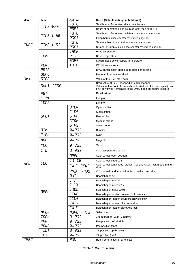| Menu        | Item                     | <b>Options</b>   | Notes (Default settings in bold print)                                                                                                                |  |  |
|-------------|--------------------------|------------------|-------------------------------------------------------------------------------------------------------------------------------------------------------|--|--|
|             | TIME>HR5                 | TOTL             | Total hours of operation since manufacture                                                                                                            |  |  |
|             |                          | RSET             | Hours of operation since counter reset (see page 13)                                                                                                  |  |  |
|             | TIME→L HR                | TOTL             | Total hours of operation with lamp on since manufacture                                                                                               |  |  |
|             |                          | RSET             | Lamp hours since counter reset (see page 13)                                                                                                          |  |  |
| INFO        |                          | TOTL             | Total number of lamp strikes since manufacture                                                                                                        |  |  |
|             | TIME <sub>&gt;L</sub> 5T | RSE T            | Number of lamp strikes since counter reset (see page 13)                                                                                              |  |  |
|             |                          | LAMP             | Head temperature                                                                                                                                      |  |  |
|             | TEMP                     | <b>PCB</b>       | Base temperature                                                                                                                                      |  |  |
|             |                          | <b>SMPS</b>      | Switch mode power supply temperature                                                                                                                  |  |  |
|             | <b>VER</b>               | X, X, X          | CPU firmware version                                                                                                                                  |  |  |
|             | RATE                     |                  | DMX transmission speed in packets per second                                                                                                          |  |  |
| <b>QUAL</b> |                          |                  | Percent of packets received                                                                                                                           |  |  |
| <b>JMXL</b> | STCO                     |                  | Value of the DMX start code                                                                                                                           |  |  |
|             |                          |                  | DMX value (0 - 255) received on each channel                                                                                                          |  |  |
|             | SHUT - EFSP              |                  | Values for fine control channels (indicated with $\overline{F}$ in the display) can only be viewed if available in the DMX mode the fixture is set to |  |  |
|             | RST                      |                  | Reset fixture                                                                                                                                         |  |  |
|             | L ON                     |                  | Lamp on                                                                                                                                               |  |  |
|             | LOFF                     |                  | Lamp off                                                                                                                                              |  |  |
|             |                          | <b>OPEN</b>      | Open shutter                                                                                                                                          |  |  |
|             |                          | CLOS             | Close shutter                                                                                                                                         |  |  |
|             | <b>SHUT</b>              | <b>STRF</b>      | Fast strobe                                                                                                                                           |  |  |
|             |                          | <b>STRM</b>      | Medium strobe                                                                                                                                         |  |  |
|             |                          | STR <sub>5</sub> | Slow strobe                                                                                                                                           |  |  |
|             | $I$ IM                   | $0 - 255$        |                                                                                                                                                       |  |  |
|             | <b>EYAN</b>              |                  | Dimmer                                                                                                                                                |  |  |
|             |                          | $0 - 255$        | Cyan                                                                                                                                                  |  |  |
|             | M <sub>RG</sub>          | $0 - 255$        | Magenta                                                                                                                                               |  |  |
|             | YEL                      | $0 - 255$        | Yellow                                                                                                                                                |  |  |
|             | <b>CTC</b>               | $0 - 255$        | Color temperature control                                                                                                                             |  |  |
|             |                          | <b>OPEN</b>      | Color wheel: open position                                                                                                                            |  |  |
|             |                          | $C_1 - CB$       | Color wheel: filters 1-8                                                                                                                              |  |  |
| MAN         | <b>COL</b>               | CH F-CCHS        | Color wheel continuous rotation: CW and CCW; fast, medium and                                                                                         |  |  |
|             |                          | $RNIF - RNIS$    | slow<br>Color wheel random rotation: fast, medium and slow                                                                                            |  |  |
|             |                          | <b>DUT</b>       | Beamshaper out                                                                                                                                        |  |  |
|             |                          | I Ø              | Beamshaper index 0                                                                                                                                    |  |  |
|             |                          | I 50             | Beamshaper index 50%                                                                                                                                  |  |  |
|             |                          | I 100            | Beamshaper index 100%                                                                                                                                 |  |  |
|             | <b>BEAM</b>              | <b>CCWF</b>      | Beamshaper rotation counterclockwise fast                                                                                                             |  |  |
|             |                          | <b>CCWS</b>      |                                                                                                                                                       |  |  |
|             |                          | CW <sub>5</sub>  | Beamshaper rotation counterclockwise slow<br>Beamshaper rotation clockwise slow                                                                       |  |  |
|             |                          | <b>CWF</b>       | Beamshaper rotation clockwise fast                                                                                                                    |  |  |
|             | <b>MACR</b>              | NONE - MAC3      |                                                                                                                                                       |  |  |
|             | <b>ZOOM</b>              | $0 - 255$        | Select macro<br>Zoom position, wide $\rightarrow$ narrow                                                                                              |  |  |
|             | <b>PRN</b>               | $0 - 255$        | Pan position, left $\rightarrow$ right                                                                                                                |  |  |
|             | PANF                     | $0 - 255$        | Pan position (fine)                                                                                                                                   |  |  |
|             | TILT                     | $0 - 255$        |                                                                                                                                                       |  |  |
|             | <b>TLTF</b>              | $0 - 255$        | Tilt position, up $\rightarrow$ down                                                                                                                  |  |  |
| TSEQ        |                          | <b>RUN</b>       | Tilt position (fine)                                                                                                                                  |  |  |
|             |                          |                  | Run a general test of all effects                                                                                                                     |  |  |

**Table 2: Control menu**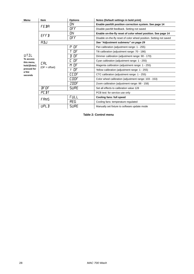| Menu                    | <b>Item</b>                   | <b>Options</b> | Notes (Default settings in bold print)                              |  |
|-------------------------|-------------------------------|----------------|---------------------------------------------------------------------|--|
|                         | <b>FEBR</b>                   | 0N.            | Enable pan/tilt position correction system. See page 14             |  |
|                         |                               | OFF            | Disable pan/tilt feedback. Setting not saved                        |  |
|                         | <b>EFFB</b>                   | ΩN             | Enable on-the-fly reset of color wheel position. See page 14        |  |
|                         |                               | OFF            | Disable on-the-fly reset of color wheel position. Setting not saved |  |
|                         | ADJ                           |                | See "Adjustment submenu" on page 29                                 |  |
|                         |                               | P OF           | Pan calibration (adjustment range: 1 - 255)                         |  |
|                         |                               | T OF           | Tilt calibration (adjustment range: 70 - 186)                       |  |
| UTIL                    |                               | D OF           | Dimmer calibration (adjustment range: 90 - 170)                     |  |
| To access<br>this menu, | <b>CAL</b><br>$(OF = offset)$ | OF             | Cyan calibration (adjustment range: 1 - 255)                        |  |
| hold [Enter]            |                               | M OF           | Magenta calibration (adjustment range: 1 - 255)                     |  |
| pressed for<br>a few    |                               | Y OF           | Yellow calibration (adjustment range: 1 - 255)                      |  |
| seconds                 |                               | CCOF           | CTC calibration (adjustment range: 1 - 255)                         |  |
|                         |                               | coor           | Color wheel calibration (adjustment range: 103 - 153)               |  |
|                         |                               | 200F           | Zoom calibration (adjustment range: 98 - 158)                       |  |
|                         | <b>JFOF</b>                   | <b>SURE</b>    | Set all effects to calibration value 128                            |  |
|                         | <b>PCBT</b>                   |                | PCB test: for service use only                                      |  |
|                         | <b>FANS</b>                   | <b>FULL</b>    | Cooling fans: full speed                                            |  |
|                         |                               | REG            | Cooling fans: temperature regulated                                 |  |
|                         | UPL J                         | <b>SURE</b>    | Manually set fixture to software update mode                        |  |

**Table 2: Control menu**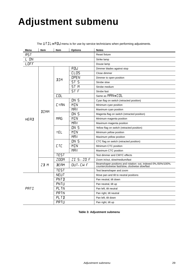# <span id="page-28-0"></span>**Adjustment submenu**

| Menu | Item        | Item            | <b>Options</b>                        | <b>Notes</b>                                                                                                     |
|------|-------------|-----------------|---------------------------------------|------------------------------------------------------------------------------------------------------------------|
| RST  |             |                 | <b>Reset fixture</b>                  |                                                                                                                  |
| L ON |             |                 | Strike lamp                           |                                                                                                                  |
| LOFF |             |                 |                                       | Douse lamp                                                                                                       |
|      |             |                 | ADJ                                   | Dimmer blades against stop                                                                                       |
|      |             |                 | CLOS                                  | Close dimmer                                                                                                     |
|      |             | JIM             | <b>OPEN</b>                           | Dimmer to open position                                                                                          |
|      |             |                 | <b>ST 5</b>                           | Strobe slow                                                                                                      |
|      |             |                 | ST <sub>N</sub>                       | Strobe medium                                                                                                    |
|      |             |                 | $ST \overline{F}$                     | Strobe fast                                                                                                      |
|      |             | <b>COL</b>      |                                       | Same as MRN→ COL                                                                                                 |
|      |             |                 | <b>ON 5</b>                           | Cyan flag on switch (retracted position)                                                                         |
|      |             | <b>CYAN</b>     | MIN                                   | Minimum cyan position                                                                                            |
|      | <b>JIMM</b> |                 | MRx                                   | Maximum cyan position                                                                                            |
|      |             |                 | <b>ON 5</b>                           | Magenta flag on switch (retracted position)                                                                      |
| HEAD |             | M <sub>RG</sub> | MIN                                   | Minimum magenta position                                                                                         |
|      |             |                 | MRx                                   | Maximum magenta position                                                                                         |
|      |             | YEL             | <b>ON 5</b>                           | Yellow flag on switch (retracted position)                                                                       |
|      |             |                 | MIN                                   | Minimum yellow position                                                                                          |
|      |             |                 | MRx                                   | Maximum yellow position                                                                                          |
|      |             |                 | <b>ON 5</b>                           | CTC flag on switch (retracted position)                                                                          |
|      |             | <b>CTC</b>      | MIN                                   | Minimum CTC position                                                                                             |
|      |             |                 | MRx                                   | Maximum CTC position                                                                                             |
|      |             | <b>TEST</b>     |                                       | Test dimmer and CMYC effects                                                                                     |
|      |             | <b>ZOOM</b>     | $ZI$ 5 - $ZO$ F                       | Zoom in/out, slow/medium/fast                                                                                    |
|      | $Z$ $B$ $M$ | <b>BEAM</b>     | $DUT$ <sub>-<math>EW</math></sub> $F$ | Beamshaper positions and rotation: out, indexed 0%,/50%/100%,<br>counterclockwise fast/slow, clockwise slow/fast |
|      |             | <b>TEST</b>     |                                       | Test beamshaper and zoom                                                                                         |
|      |             | <b>NEUT</b>     |                                       | Move pan and tilt to neutral positions                                                                           |
|      |             | PNTI            |                                       | Pan neutral, tilt down                                                                                           |
|      |             | PNTU            |                                       | Pan neutral, tilt up                                                                                             |
| PRTI |             | <b>PLTN</b>     |                                       | Pan left, tilt neutral                                                                                           |
|      |             | PRTN            |                                       | Pan right, tilt neutral                                                                                          |
|      |             | PLTI            |                                       | Pan left, tilt down                                                                                              |
|      |             | PRTU            |                                       | Pan right, tilt up                                                                                               |

The  $UTL \rightarrow HJL$  menu is for use by service technicians when performing adjustments.

**Table 3: Adjustment submenu**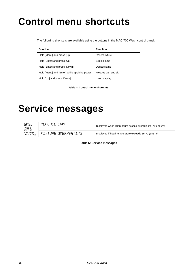# **Control menu shortcuts**

The following shortcuts are available using the buttons in the MAC 700 Wash control panel:

| <b>Shortcut</b>                              | <b>Function</b>      |
|----------------------------------------------|----------------------|
| Hold [Menu] and press [Up]                   | Resets fixture       |
| Hold [Enter] and press [Up]                  | Strikes lamp         |
| Hold [Enter] and press [Down]                | Douses lamp          |
| Hold [Menu] and [Enter] while applying power | Freezes pan and tilt |
| Hold [Up] and press [Down]                   | Invert display       |

**Table 4: Control menu shortcuts**

# **Service messages**

**5M56** (when service<br>message<br>LED is lit) REPLACE LAMP<br>Displayed when lamp hours exceed average life (750 hours) FIXTURE DI'ERHERTING | Displayed if head temperature exceeds 85° C (185° F)

**Table 5: Service messages**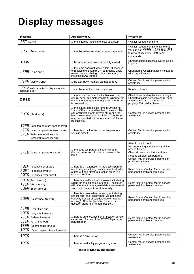# <span id="page-30-0"></span>**Display messages**

| <b>Message</b>                                                                                                                                                                                 | Appears when                                                                                                                                                                                                                                             | What to do                                                                                                                                                                                                               |
|------------------------------------------------------------------------------------------------------------------------------------------------------------------------------------------------|----------------------------------------------------------------------------------------------------------------------------------------------------------------------------------------------------------------------------------------------------------|--------------------------------------------------------------------------------------------------------------------------------------------------------------------------------------------------------------------------|
| $R5T$ (Reset)                                                                                                                                                                                  | the fixture is indexing effects at startup.                                                                                                                                                                                                              | Wait for reset to complete.                                                                                                                                                                                              |
| <b>SRST</b> (Serial reset)                                                                                                                                                                     | the fixture has received a reset command.                                                                                                                                                                                                                | Wait for reset to complete. Note that<br>you can set $PERS \rightarrow IRES$ to DFF<br>to prevent accidental DMX reset<br>commands.                                                                                      |
| JOOR                                                                                                                                                                                           | the lamp access cover is not fully closed.                                                                                                                                                                                                               | Check that lamp access cover is locked<br>in place.                                                                                                                                                                      |
| $LERR$ (Lamp error)                                                                                                                                                                            | the lamp does not ignite within 30 seconds<br>of receiving the 'Lamp ON' command. Likely<br>reasons are a missing or defective lamp, or<br>insufficient AC voltage.                                                                                      | Check lamp. Check that local voltage is<br>within specification.                                                                                                                                                         |
| $MERR$ (Memory error)                                                                                                                                                                          | the EEPROM memory cannot be read.                                                                                                                                                                                                                        | Contact Martin service personnel for<br>assistance.                                                                                                                                                                      |
| $UPL$ $\prime$ last character in display rotates<br>(Upload error)                                                                                                                             | a software upload is unsuccessful.                                                                                                                                                                                                                       | Reload software.                                                                                                                                                                                                         |
| 黑鼠鼠鼠                                                                                                                                                                                           | there is no communication between the<br>control panel and motherboard (it is normal for<br>this readout to appear briefly when the fixture<br>is powered on).                                                                                           | Check fuses and replace accordingly.<br>Check that cable between control panel<br>and motherboard is connected<br>properly. Reinstall software.                                                                          |
| $SHER$ (Short error)                                                                                                                                                                           | the fixture detects the lamp is ON but no<br>'Lamp ON' command has been received. This<br>can occur if the lamp relay is stuck or if the<br>lamp-power feedback circuit fails. The fixture<br>may be operated but remote lamp on/off may<br>be affected. | Contact Martin service personnel for<br>assistance.                                                                                                                                                                      |
| $JTER$ (Base temperature sensor error)<br>$L$ TER (Lamp temperature sensor error)<br>ETER (Switchmode/ballast side<br>temperature sensor error)                                                | there is a malfunction in the temperature<br>sensing circuit.                                                                                                                                                                                            | Contact Martin service personnel for<br>assistance.                                                                                                                                                                      |
| <b>LTED</b> (Lamp temperature cut-out)                                                                                                                                                         | the lamp temperature is too high and<br>thermal protection circuits cut power to the<br>lamp.                                                                                                                                                            | Allow fixture to cool.<br>Ensure nothing is obstructing airflow<br>around fixture.<br>Clean air vents, air filters and fans.<br>Reduce ambient temperature.<br>Contact Martin service personnel if<br>problem continues. |
| $F$ $BEP$ (Feedback error pan)<br>$F$ <b>JE</b> $\overline{I}$ (Feedback error tilt)<br>$F$ <b>JER</b> (Feedback error pan/tilt)                                                               | there is a malfunction in the optical pan/tilt<br>monitoring circuit (e.g. sensor defective). After<br>a time-out, the effect in question stops in a<br>random position.                                                                                 | Reset fixture. Contact Martin service<br>personnel if problem continues.                                                                                                                                                 |
| PRER (Pan time-out)<br>TIER (Tilt time-out)<br>$ZDEF$ (Zoom time-out)                                                                                                                          | there is a malfunction in the electric indexing<br>circuit for pan, tilt, focus or zoom. The fixture<br>will, after the time-out, establish a mechanical<br>stop, and continue to work normally.                                                         | Reset fixture. Contact Martin service<br>personnel if problem continues.                                                                                                                                                 |
| <b>CDER</b> (Color wheel time-out))                                                                                                                                                            | there is a color wheel indexing or indexing<br>sensor error (e.g. color wheel will not index<br>correctly, sensor circuit defective or magnet<br>missing). After the time-out, the effect in<br>question stops in a random position.                     | Reset fixture. Contact Martin service<br>personnel if problem continues.                                                                                                                                                 |
| $L YER$ (Cyan time-out)<br>$MHER$ (Magenta time-out))<br>YEER (Yellow time-out)<br><b>CCER</b> (CTC time-out)<br>$BEER$ (Beamshaper time-out)<br>$\text{B}$ RER (Beamshaper rotation time-out) | there is an effect position or position sensor<br>circuit error for one of the CMYC flags or the<br>beamshaper.                                                                                                                                          | Reset fixture. Contact Martin service<br>personnel if problem continues.                                                                                                                                                 |
| <b>JRER</b>                                                                                                                                                                                    | there is a driver error.                                                                                                                                                                                                                                 | Contact Martin service personnel for<br>assistance.                                                                                                                                                                      |
| <b>JPER</b>                                                                                                                                                                                    | there is an display programming error.                                                                                                                                                                                                                   | Contact Martin service personnel for<br>assistance.                                                                                                                                                                      |

**Table 6: Display messages**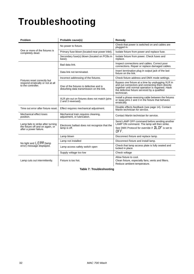# **Troubleshooting**

| <b>Problem</b>                                                                                   | Probable cause(s)                                                                    | Remedy                                                                                                                                                                                                                    |
|--------------------------------------------------------------------------------------------------|--------------------------------------------------------------------------------------|---------------------------------------------------------------------------------------------------------------------------------------------------------------------------------------------------------------------------|
|                                                                                                  | No power to fixture.                                                                 | Check that power is switched on and cables are<br>plugged in.                                                                                                                                                             |
| One or more of the fixtures is<br>completely dead.                                               | Primary fuse blown (located near power inlet).                                       | Isolate fixture from power and replace fuse.                                                                                                                                                                              |
|                                                                                                  | Secondary fuse(s) blown (located on PCBs in<br>base).                                | Isolate fixture from power. Check fuses and<br>replace.                                                                                                                                                                   |
|                                                                                                  | Bad data link.                                                                       | Inspect connections and cables. Correct poor<br>connections. Repair or replace damaged cables.                                                                                                                            |
|                                                                                                  | Data link not terminated.                                                            | Insert termination plug in output jack of the last<br>fixture on the link.                                                                                                                                                |
|                                                                                                  | Incorrect addressing of the fixtures.                                                | Check fixture address and DMX mode settings.                                                                                                                                                                              |
| Fixtures reset correctly but<br>respond erratically or not at all<br>to the controller.          | One of the fixtures is defective and is<br>disturbing data transmission on the link. | Bypass one fixture at a time by unplugging XLR in<br>and out connectors and connecting them directly<br>together until normal operation is regained. Have<br>the defective fixture serviced by a qualified<br>technician. |
|                                                                                                  | XLR pin-out on fixtures does not match (pins<br>2 and 3 reversed).                   | Install a phase-reversing cable between the fixtures<br>or swap pins 2 and 3 in the fixture that behaves<br>erratically.                                                                                                  |
| Time out error after fixture reset.                                                              | Effect requires mechanical adjustment.                                               | Disable effects feedback (see page 14). Contact<br>Martin technician for service.                                                                                                                                         |
| Mechanical effect loses<br>position.                                                             | Mechanical train requires cleaning,<br>adjustment, or lubrication.                   | Contact Martin technician for service.                                                                                                                                                                                    |
| Lamp fails to strike after turning<br>the fixture off and on again, or<br>after a power failure. | Electronic ballast does not recognize that the<br>lamp is off.                       | Send LAMP OFF command before sending another<br>LAMP ON command. The lamp will then strike.<br>See DMX Protocol for override if <b>JL OF</b> is set to<br>OFF.                                                            |
|                                                                                                  | Lamp blown                                                                           | Disconnect fixture and replace lamp.                                                                                                                                                                                      |
|                                                                                                  | Lamp not installed                                                                   | Disconnect fixture and install lamp.                                                                                                                                                                                      |
| No light and $LERR$ (lamp<br>error) message displayed.                                           | Lamp access safety switch open                                                       | Check that lamp access plate is fully seated and<br>locked in place.                                                                                                                                                      |
|                                                                                                  | Supply voltage too low                                                               | Check voltage                                                                                                                                                                                                             |
| Fixture is too hot.<br>Lamp cuts out intermittently.                                             |                                                                                      | Allow fixture to cool.<br>Clean fixture, especially fans, vents and filters.<br>Reduce ambient temperature.                                                                                                               |

**Table 7: Troubleshooting**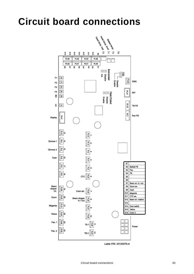# <span id="page-32-0"></span>**Circuit board connections**



Lable P/N: 33120079-A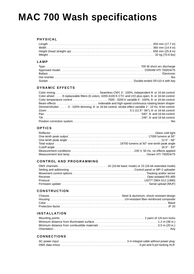# **MAC 700 Wash specifications**

#### **PHYSICAL**

#### **LAMP**

#### **DYNAMIC EFFECTS**

| Color wheel 8 replaceable filters (6 colors, 3200-4100 K CTC and UV) plus open, 8- or 16-bit control   |
|--------------------------------------------------------------------------------------------------------|
|                                                                                                        |
|                                                                                                        |
| Dimmer/shutter 0 - 100% dimming, 8- or 16-bit control, strobe effect variable 2 - 10 Hz, 8-bit control |
|                                                                                                        |
|                                                                                                        |
|                                                                                                        |
|                                                                                                        |

#### **OPTICS**

#### **CONTROL AND PROGRAMMING**

#### **CONSTRUCTION**

#### **INSTALLATION**

#### **CONNECTIONS**